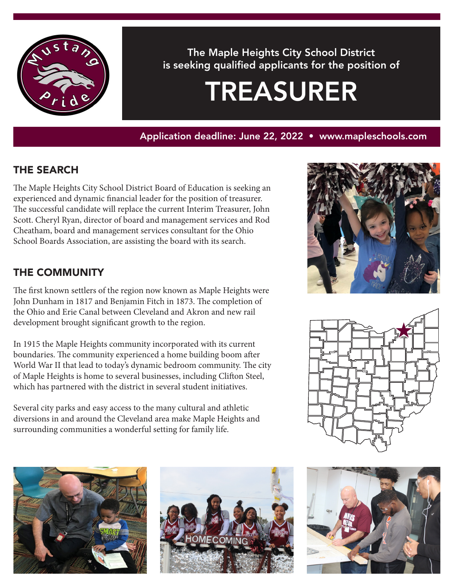

The Maple Heights City School District is seeking qualified applicants for the position of

# TREASURER

Application deadline: June 22, 2022 • www.mapleschools.com

# THE SEARCH

The Maple Heights City School District Board of Education is seeking an experienced and dynamic financial leader for the position of treasurer. The successful candidate will replace the current Interim Treasurer, John Scott. Cheryl Ryan, director of board and management services and Rod Cheatham, board and management services consultant for the Ohio School Boards Association, are assisting the board with its search.

### THE COMMUNITY

The first known settlers of the region now known as Maple Heights were John Dunham in 1817 and Benjamin Fitch in 1873. The completion of the Ohio and Erie Canal between Cleveland and Akron and new rail development brought significant growth to the region.

In 1915 the Maple Heights community incorporated with its current boundaries. The community experienced a home building boom after World War II that lead to today's dynamic bedroom community. The city of Maple Heights is home to several businesses, including Clifton Steel, which has partnered with the district in several student initiatives.

Several city parks and easy access to the many cultural and athletic diversions in and around the Cleveland area make Maple Heights and surrounding communities a wonderful setting for family life.









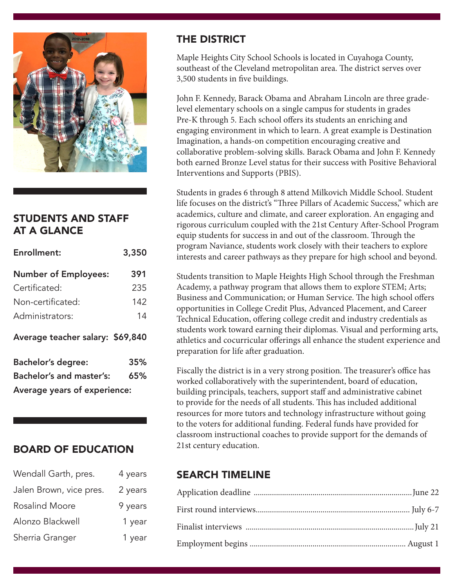

## STUDENTS AND STAFF AT A GLANCE

| Enrollment:                      | 3,350 |  |  |  |
|----------------------------------|-------|--|--|--|
| <b>Number of Employees:</b>      | 391   |  |  |  |
| Certificated:                    | 235   |  |  |  |
| Non-certificated:                | 142   |  |  |  |
| Administrators:                  | 14    |  |  |  |
| Average teacher salary: \$69,840 |       |  |  |  |
| <b>Bachelor's degree:</b>        | 35%   |  |  |  |
| <b>Bachelor's and master's:</b>  | 65%   |  |  |  |
| Average years of experience:     |       |  |  |  |

### BOARD OF EDUCATION

| Wendall Garth, pres.    | 4 years |
|-------------------------|---------|
| Jalen Brown, vice pres. | 2 years |
| Rosalind Moore          | 9 years |
| Alonzo Blackwell        | 1 year  |
| Sherria Granger         | 1 year  |

## THE DISTRICT

Maple Heights City School Schools is located in Cuyahoga County, southeast of the Cleveland metropolitan area. The district serves over 3,500 students in five buildings.

John F. Kennedy, Barack Obama and Abraham Lincoln are three gradelevel elementary schools on a single campus for students in grades Pre-K through 5. Each school offers its students an enriching and engaging environment in which to learn. A great example is Destination Imagination, a hands-on competition encouraging creative and collaborative problem-solving skills. Barack Obama and John F. Kennedy both earned Bronze Level status for their success with Positive Behavioral Interventions and Supports (PBIS).

Students in grades 6 through 8 attend Milkovich Middle School. Student life focuses on the district's "Three Pillars of Academic Success," which are academics, culture and climate, and career exploration. An engaging and rigorous curriculum coupled with the 21st Century After-School Program equip students for success in and out of the classroom. Through the program Naviance, students work closely with their teachers to explore interests and career pathways as they prepare for high school and beyond.

Students transition to Maple Heights High School through the Freshman Academy, a pathway program that allows them to explore STEM; Arts; Business and Communication; or Human Service. The high school offers opportunities in College Credit Plus, Advanced Placement, and Career Technical Education, offering college credit and industry credentials as students work toward earning their diplomas. Visual and performing arts, athletics and cocurricular offerings all enhance the student experience and preparation for life after graduation.

Fiscally the district is in a very strong position. The treasurer's office has worked collaboratively with the superintendent, board of education, building principals, teachers, support staff and administrative cabinet to provide for the needs of all students. This has included additional resources for more tutors and technology infrastructure without going to the voters for additional funding. Federal funds have provided for classroom instructional coaches to provide support for the demands of 21st century education.

### SEARCH TIMELINE